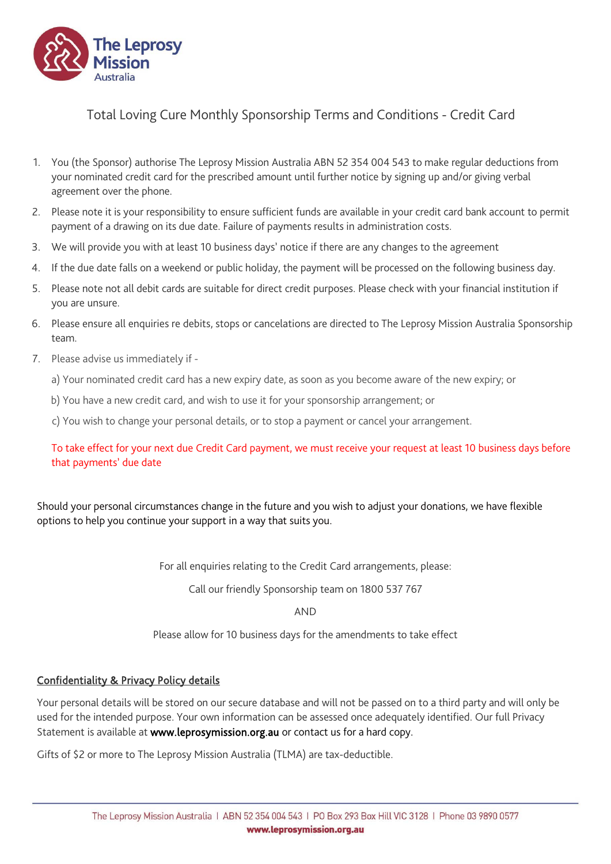

## Total Loving Cure Monthly Sponsorship Terms and Conditions - Credit Card

- 1. You (the Sponsor) authorise The Leprosy Mission Australia ABN 52 354 004 543 to make regular deductions from your nominated credit card for the prescribed amount until further notice by signing up and/or giving verbal agreement over the phone.
- 2. Please note it is your responsibility to ensure sufficient funds are available in your credit card bank account to permit payment of a drawing on its due date. Failure of payments results in administration costs.
- 3. We will provide you with at least 10 business days' notice if there are any changes to the agreement
- 4. If the due date falls on a weekend or public holiday, the payment will be processed on the following business day.
- 5. Please note not all debit cards are suitable for direct credit purposes. Please check with your financial institution if you are unsure.
- 6. Please ensure all enquiries re debits, stops or cancelations are directed to The Leprosy Mission Australia Sponsorship team.
- 7. Please advise us immediately if
	- a) Your nominated credit card has a new expiry date, as soon as you become aware of the new expiry; or
	- b) You have a new credit card, and wish to use it for your sponsorship arrangement; or
	- c) You wish to change your personal details, or to stop a payment or cancel your arrangement.

To take effect for your next due Credit Card payment, we must receive your request at least 10 business days before that payments' due date

Should your personal circumstances change in the future and you wish to adjust your donations, we have flexible options to help you continue your support in a way that suits you.

For all enquiries relating to the Credit Card arrangements, please:

Call our friendly Sponsorship team on 1800 537 767

AND

Please allow for 10 business days for the amendments to take effect

## Confidentiality & Privacy Policy details

Your personal details will be stored on our secure database and will not be passed on to a third party and will only be used for the intended purpose. Your own information can be assessed once adequately identified. Our full Privacy Statement is available at www.leprosymission.org.au or contact us for a hard copy.

Gifts of \$2 or more to The Leprosy Mission Australia (TLMA) are tax-deductible.